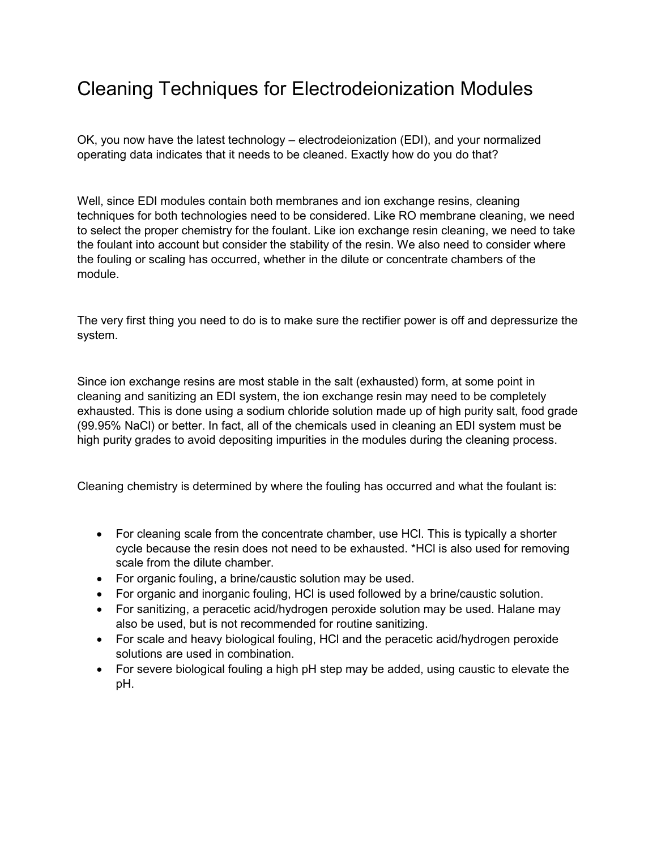## Cleaning Techniques for Electrodeionization Modules

OK, you now have the latest technology – electrodeionization (EDI), and your normalized operating data indicates that it needs to be cleaned. Exactly how do you do that?

Well, since EDI modules contain both membranes and ion exchange resins, cleaning techniques for both technologies need to be considered. Like RO membrane cleaning, we need to select the proper chemistry for the foulant. Like ion exchange resin cleaning, we need to take the foulant into account but consider the stability of the resin. We also need to consider where the fouling or scaling has occurred, whether in the dilute or concentrate chambers of the module.

The very first thing you need to do is to make sure the rectifier power is off and depressurize the system.

Since ion exchange resins are most stable in the salt (exhausted) form, at some point in cleaning and sanitizing an EDI system, the ion exchange resin may need to be completely exhausted. This is done using a sodium chloride solution made up of high purity salt, food grade (99.95% NaCl) or better. In fact, all of the chemicals used in cleaning an EDI system must be high purity grades to avoid depositing impurities in the modules during the cleaning process.

Cleaning chemistry is determined by where the fouling has occurred and what the foulant is:

- For cleaning scale from the concentrate chamber, use HCI. This is typically a shorter cycle because the resin does not need to be exhausted. \*HCl is also used for removing scale from the dilute chamber.
- For organic fouling, a brine/caustic solution may be used.
- For organic and inorganic fouling, HCl is used followed by a brine/caustic solution.
- For sanitizing, a peracetic acid/hydrogen peroxide solution may be used. Halane may also be used, but is not recommended for routine sanitizing.
- For scale and heavy biological fouling, HCl and the peracetic acid/hydrogen peroxide solutions are used in combination.
- For severe biological fouling a high pH step may be added, using caustic to elevate the pH.